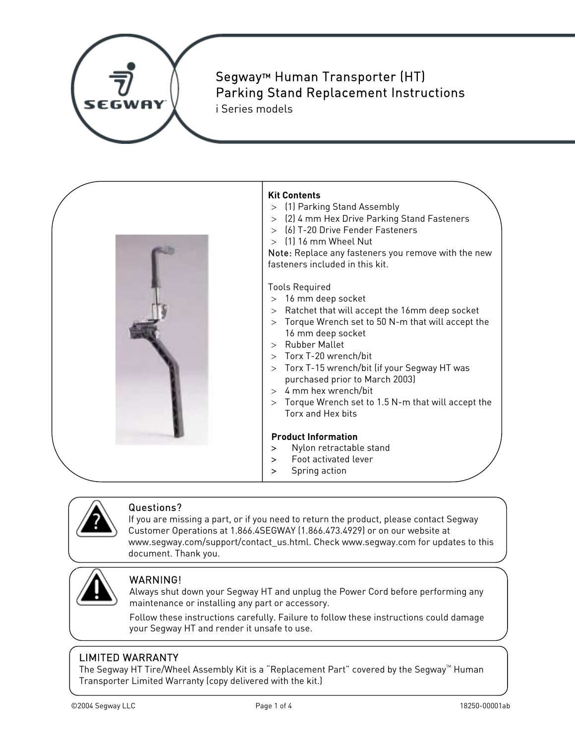

# Segway™ Human Transporter (HT) Parking Stand Replacement Instructions

i Series models





### Questions?

If you are missing a part, or if you need to return the product, please contact Segway Customer Operations at 1.866.4SEGWAY (1.866.473.4929) or on our website at www.segway.com/support/contact\_us.html. Check www.segway.com for updates to this document. Thank you.



### WARNING!

Always shut down your Segway HT and unplug the Power Cord before performing any maintenance or installing any part or accessory.

Follow these instructions carefully. Failure to follow these instructions could damage your Segway HT and render it unsafe to use.

### LIMITED WARRANTY

The Segway HT Tire/Wheel Assembly Kit is a "Replacement Part" covered by the Segway $M$  Human Transporter Limited Warranty (copy delivered with the kit.)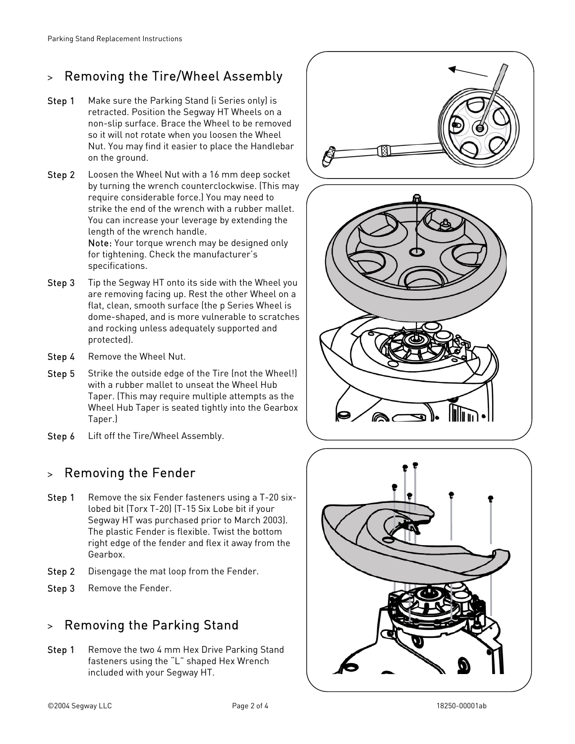## > Removing the Tire/Wheel Assembly

- **Step 1** Make sure the Parking Stand (i Series only) is retracted. Position the Segway HT Wheels on a non-slip surface. Brace the Wheel to be removed so it will not rotate when you loosen the Wheel Nut. You may find it easier to place the Handlebar on the ground.
- Step 2 Loosen the Wheel Nut with a 16 mm deep socket by turning the wrench counterclockwise. (This may require considerable force.) You may need to strike the end of the wrench with a rubber mallet. You can increase your leverage by extending the length of the wrench handle.

Note: Your torque wrench may be designed only for tightening. Check the manufacturer's specifications.

- **Step 3** Tip the Segway HT onto its side with the Wheel you are removing facing up. Rest the other Wheel on a flat, clean, smooth surface (the p Series Wheel is dome-shaped, and is more vulnerable to scratches and rocking unless adequately supported and protected).
- Step 4 Remove the Wheel Nut.
- Step 5 Strike the outside edge of the Tire (not the Wheel!) with a rubber mallet to unseat the Wheel Hub Taper. (This may require multiple attempts as the Wheel Hub Taper is seated tightly into the Gearbox Taper.)
- Step 6 Lift off the Tire/Wheel Assembly.

# > Removing the Fender

- **Step 1** Remove the six Fender fasteners using a T-20 sixlobed bit (Torx T-20) (T-15 Six Lobe bit if your Segway HT was purchased prior to March 2003). The plastic Fender is flexible. Twist the bottom right edge of the fender and flex it away from the Gearbox.
- Step 2 Disengage the mat loop from the Fender.
- Step 3 Remove the Fender.

# > Removing the Parking Stand

Step 1 Remove the two 4 mm Hex Drive Parking Stand fasteners using the "L" shaped Hex Wrench included with your Segway HT.



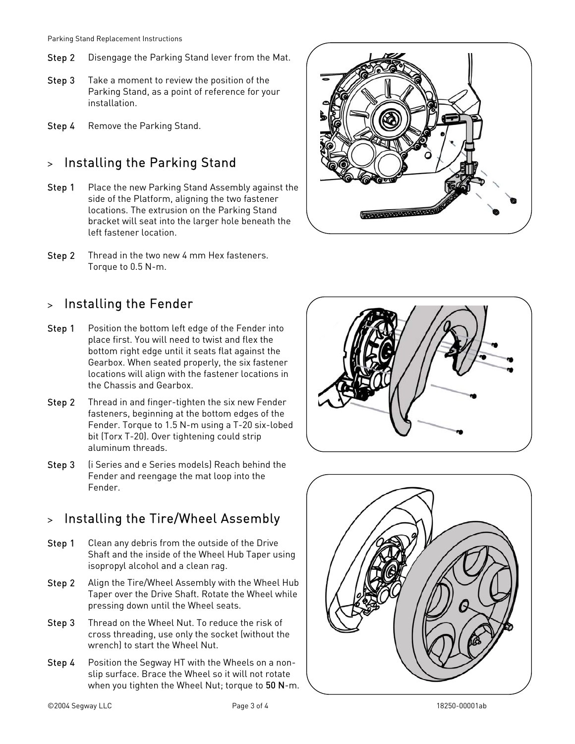- Step 2 Disengage the Parking Stand lever from the Mat.
- **Step 3** Take a moment to review the position of the Parking Stand, as a point of reference for your installation.
- Step 4 Remove the Parking Stand.

## > Installing the Parking Stand

- Step 1 Place the new Parking Stand Assembly against the side of the Platform, aligning the two fastener locations. The extrusion on the Parking Stand bracket will seat into the larger hole beneath the left fastener location.
- Step 2 Thread in the two new 4 mm Hex fasteners. Torque to 0.5 N-m.

### > Installing the Fender

- Step 1 Position the bottom left edge of the Fender into place first. You will need to twist and flex the bottom right edge until it seats flat against the Gearbox. When seated properly, the six fastener locations will align with the fastener locations in the Chassis and Gearbox.
- Step 2 Thread in and finger-tighten the six new Fender fasteners, beginning at the bottom edges of the Fender. Torque to 1.5 N-m using a T-20 six-lobed bit (Torx T-20). Over tightening could strip aluminum threads.
- Step 3 (i Series and e Series models) Reach behind the Fender and reengage the mat loop into the Fender.

### > Installing the Tire/Wheel Assembly

- Step 1 Clean any debris from the outside of the Drive Shaft and the inside of the Wheel Hub Taper using isopropyl alcohol and a clean rag.
- Step 2 Align the Tire/Wheel Assembly with the Wheel Hub Taper over the Drive Shaft. Rotate the Wheel while pressing down until the Wheel seats.
- Step 3 Thread on the Wheel Nut. To reduce the risk of cross threading, use only the socket (without the wrench) to start the Wheel Nut.
- Step 4 Position the Segway HT with the Wheels on a nonslip surface. Brace the Wheel so it will not rotate when you tighten the Wheel Nut; torque to 50 N-m.